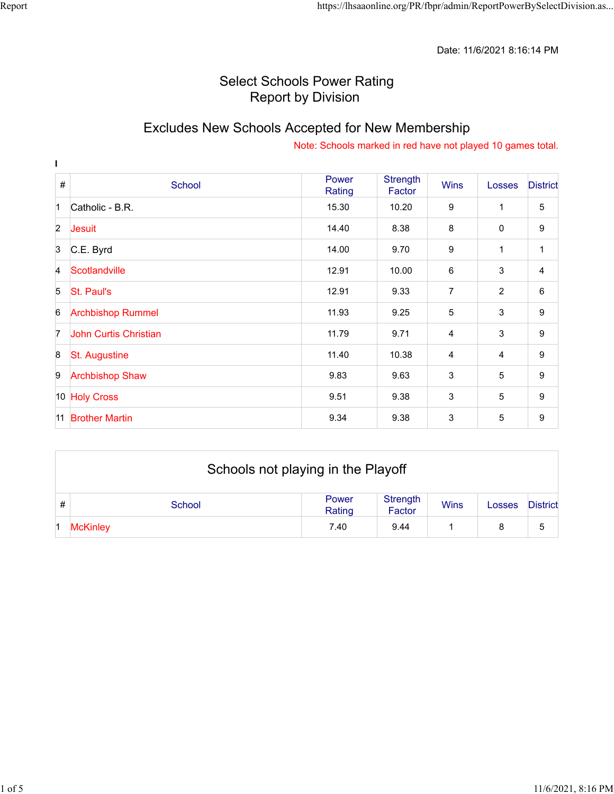Date: 11/6/2021 8:16:14 PM

## Select Schools Power Rating Report by Division

# Excludes New Schools Accepted for New Membership

| L                |                          |                 |                    |                |                |                 |
|------------------|--------------------------|-----------------|--------------------|----------------|----------------|-----------------|
| #                | School                   | Power<br>Rating | Strength<br>Factor | <b>Wins</b>    | <b>Losses</b>  | <b>District</b> |
| $\overline{1}$   | Catholic - B.R.          | 15.30           | 10.20              | 9              | $\mathbf 1$    | 5               |
| $\overline{2}$   | Jesuit                   | 14.40           | 8.38               | 8              | $\mathbf 0$    | 9               |
| $\overline{3}$   | C.E. Byrd                | 14.00           | 9.70               | 9              | 1              | 1               |
| 4                | Scotlandville            | 12.91           | 10.00              | 6              | 3              | 4               |
| 5                | St. Paul's               | 12.91           | 9.33               | $\overline{7}$ | 2              | 6               |
| 6                | <b>Archbishop Rummel</b> | 11.93           | 9.25               | 5              | 3              | 9               |
| 7                | John Curtis Christian    | 11.79           | 9.71               | $\overline{4}$ | 3              | 9               |
| $\boldsymbol{8}$ | <b>St. Augustine</b>     | 11.40           | 10.38              | $\overline{4}$ | $\overline{4}$ | 9               |
| 9                | <b>Archbishop Shaw</b>   | 9.83            | 9.63               | 3              | 5              | 9               |
|                  | 10 Holy Cross            | 9.51            | 9.38               | 3              | 5              | 9               |
| 11               | <b>Brother Martin</b>    | 9.34            | 9.38               | 3              | 5              | 9               |

|   | Schools not playing in the Playoff |                 |                    |             |        |                 |  |  |
|---|------------------------------------|-----------------|--------------------|-------------|--------|-----------------|--|--|
| # | School                             | Power<br>Rating | Strength<br>Factor | <b>Wins</b> | Losses | <b>District</b> |  |  |
|   | <b>McKinley</b>                    | 7.40            | 9.44               |             |        | 5               |  |  |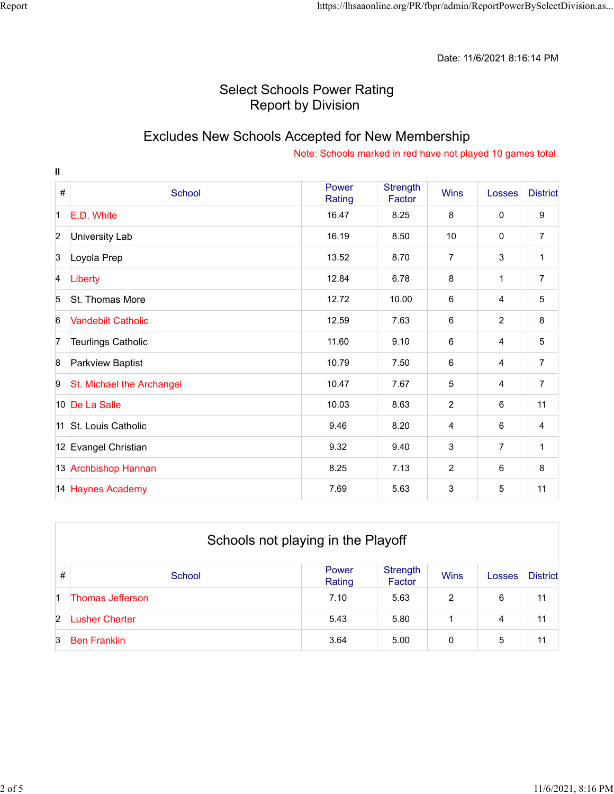Date: 11/6/2021 8:16:14 PM

## Select Schools Power Rating Report by Division

### Excludes New Schools Accepted for New Membership

| $\mathbf{I}$   |                           |                 |                           |                |                |                 |
|----------------|---------------------------|-----------------|---------------------------|----------------|----------------|-----------------|
| $\#$           | School                    | Power<br>Rating | <b>Strength</b><br>Factor | <b>Wins</b>    | Losses         | <b>District</b> |
| $\mathbf 1$    | E.D. White                | 16.47           | 8.25                      | 8              | $\mathbf 0$    | 9               |
| $\overline{2}$ | University Lab            | 16.19           | 8.50                      | 10             | 0              | $\overline{7}$  |
| 3              | Loyola Prep               | 13.52           | 8.70                      | $\overline{7}$ | 3              | 1               |
| $\overline{A}$ | Liberty                   | 12.84           | 6.78                      | 8              | 1              | $\overline{7}$  |
| 5              | <b>St. Thomas More</b>    | 12.72           | 10.00                     | 6              | $\overline{4}$ | 5               |
| 6              | <b>Vandebilt Catholic</b> | 12.59           | 7.63                      | 6              | $\overline{2}$ | 8               |
| 7              | <b>Teurlings Catholic</b> | 11.60           | 9.10                      | 6              | 4              | 5               |
| 8              | Parkview Baptist          | 10.79           | 7.50                      | 6              | $\overline{4}$ | $\overline{7}$  |
| 9              | St. Michael the Archangel | 10.47           | 7.67                      | 5              | $\overline{4}$ | $\overline{7}$  |
|                | 10 De La Salle            | 10.03           | 8.63                      | $\overline{c}$ | 6              | 11              |
|                | 11 St. Louis Catholic     | 9.46            | 8.20                      | 4              | 6              | 4               |
|                | 12 Evangel Christian      | 9.32            | 9.40                      | 3              | $\overline{7}$ | 1               |
|                | 13 Archbishop Hannan      | 8.25            | 7.13                      | $\overline{c}$ | 6              | 8               |
|                | 14 Haynes Academy         | 7.69            | 5.63                      | 3              | 5              | 11              |

|               | Schools not playing in the Playoff |                 |                    |                |        |                 |  |  |  |
|---------------|------------------------------------|-----------------|--------------------|----------------|--------|-----------------|--|--|--|
| $\#$          | School                             | Power<br>Rating | Strength<br>Factor | <b>Wins</b>    | Losses | <b>District</b> |  |  |  |
| 1             | Thomas Jefferson                   | 7.10            | 5.63               | $\overline{2}$ | 6      | 11              |  |  |  |
| $\mathcal{P}$ | usher Charter                      | 5.43            | 5.80               |                | 4      | 11              |  |  |  |
| 3             | <b>Ben Franklin</b>                | 3.64            | 5.00               | 0              | 5      | 11              |  |  |  |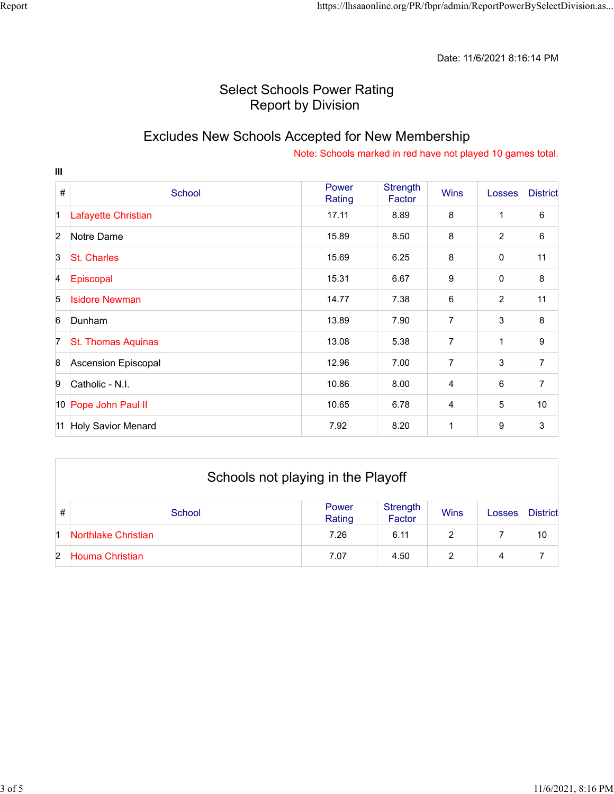### Select Schools Power Rating Report by Division

### Excludes New Schools Accepted for New Membership

| $\mathbf{m}$     |                           |                 |                           |                |                |                 |
|------------------|---------------------------|-----------------|---------------------------|----------------|----------------|-----------------|
| $\#$             | School                    | Power<br>Rating | <b>Strength</b><br>Factor | <b>Wins</b>    | Losses         | <b>District</b> |
| $\vert$ 1        | Lafayette Christian       | 17.11           | 8.89                      | 8              | 1              | 6               |
| $\overline{2}$   | Notre Dame                | 15.89           | 8.50                      | 8              | $\overline{c}$ | 6               |
| 3                | <b>St. Charles</b>        | 15.69           | 6.25                      | 8              | 0              | 11              |
| $\overline{A}$   | Episcopal                 | 15.31           | 6.67                      | 9              | 0              | 8               |
| 5                | <b>Isidore Newman</b>     | 14.77           | 7.38                      | 6              | 2              | 11              |
| 6                | Dunham                    | 13.89           | 7.90                      | $\overline{7}$ | 3              | 8               |
| 7                | <b>St. Thomas Aquinas</b> | 13.08           | 5.38                      | 7              | 1              | 9               |
| $\boldsymbol{8}$ | Ascension Episcopal       | 12.96           | 7.00                      | 7              | 3              | $\overline{7}$  |
| 9                | Catholic - N.I.           | 10.86           | 8.00                      | 4              | 6              | 7               |
|                  | 10 Pope John Paul II      | 10.65           | 6.78                      | 4              | 5              | 10              |
| 11               | <b>Holy Savior Menard</b> | 7.92            | 8.20                      | $\mathbf{1}$   | 9              | 3               |

|   | Schools not playing in the Playoff |                 |                    |             |        |                 |  |
|---|------------------------------------|-----------------|--------------------|-------------|--------|-----------------|--|
| # | School                             | Power<br>Rating | Strength<br>Factor | <b>Wins</b> | Losses | <b>District</b> |  |
|   | Northlake Christian                | 7.26            | 6.11               | 2           |        | 10              |  |
| 2 | Houma Christian                    | 7.07            | 4.50               | ◠           | 4      |                 |  |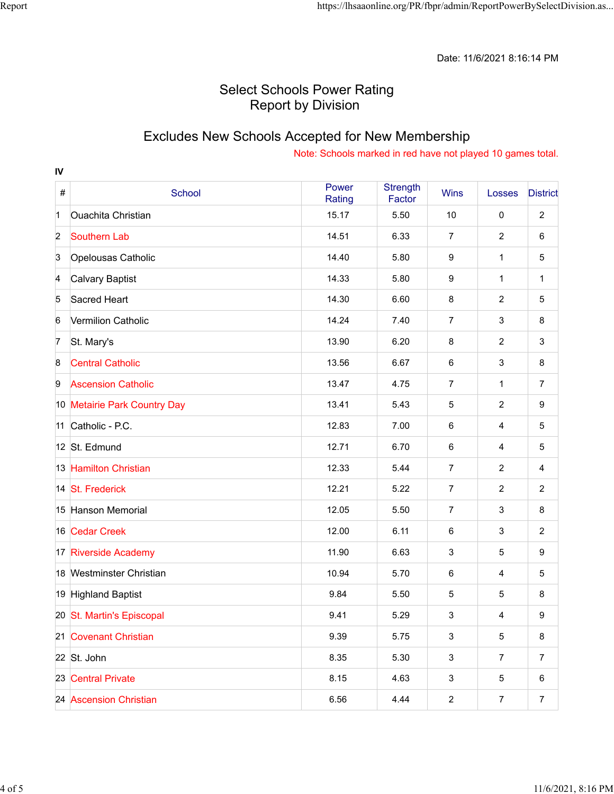Date: 11/6/2021 8:16:14 PM

## Select Schools Power Rating Report by Division

# Excludes New Schools Accepted for New Membership

| IV               |                              |                 |                           |                |                |                 |
|------------------|------------------------------|-----------------|---------------------------|----------------|----------------|-----------------|
| $\#$             | School                       | Power<br>Rating | <b>Strength</b><br>Factor | <b>Wins</b>    | Losses         | <b>District</b> |
| $\mathbf 1$      | <b>Ouachita Christian</b>    | 15.17           | 5.50                      | 10             | $\mathbf 0$    | $\overline{c}$  |
| $\overline{2}$   | <b>Southern Lab</b>          | 14.51           | 6.33                      | $\overline{7}$ | $\overline{2}$ | 6               |
| 3                | Opelousas Catholic           | 14.40           | 5.80                      | 9              | 1              | 5               |
| 4                | <b>Calvary Baptist</b>       | 14.33           | 5.80                      | 9              | 1              | $\mathbf{1}$    |
| 5                | Sacred Heart                 | 14.30           | 6.60                      | 8              | 2              | 5               |
| $6\phantom{1}$   | Vermilion Catholic           | 14.24           | 7.40                      | $\overline{7}$ | $\mathfrak{S}$ | 8               |
| $\overline{7}$   | St. Mary's                   | 13.90           | 6.20                      | 8              | $\overline{c}$ | 3               |
| $\boldsymbol{8}$ | <b>Central Catholic</b>      | 13.56           | 6.67                      | 6              | 3              | 8               |
| 9                | <b>Ascension Catholic</b>    | 13.47           | 4.75                      | 7              | 1              | $\overline{7}$  |
|                  | 10 Metairie Park Country Day | 13.41           | 5.43                      | 5              | $\overline{2}$ | 9               |
|                  | 11 Catholic - P.C.           | 12.83           | 7.00                      | 6              | 4              | 5               |
|                  | 12 St. Edmund                | 12.71           | 6.70                      | 6              | 4              | 5               |
|                  | 13 Hamilton Christian        | 12.33           | 5.44                      | $\overline{7}$ | 2              | 4               |
|                  | 14 St. Frederick             | 12.21           | 5.22                      | $\overline{7}$ | $\overline{2}$ | $\overline{c}$  |
|                  | 15 Hanson Memorial           | 12.05           | 5.50                      | 7              | 3              | 8               |
|                  | 16 Cedar Creek               | 12.00           | 6.11                      | 6              | 3              | $\overline{2}$  |
|                  | 17 Riverside Academy         | 11.90           | 6.63                      | 3              | 5              | 9               |
|                  | 18 Westminster Christian     | 10.94           | 5.70                      | 6              | $\overline{4}$ | 5               |
|                  | 19 Highland Baptist          | 9.84            | 5.50                      | 5              | 5              | 8               |
|                  | 20 St. Martin's Episcopal    | 9.41            | 5.29                      | 3              | 4              | 9               |
|                  | 21 Covenant Christian        | 9.39            | 5.75                      | $\mathbf{3}$   | $\sqrt{5}$     | 8               |
|                  | 22 St. John                  | 8.35            | 5.30                      | $\mathbf{3}$   | $\overline{7}$ | $\overline{7}$  |
|                  | 23 Central Private           | 8.15            | 4.63                      | 3              | 5              | 6               |
|                  | 24 Ascension Christian       | 6.56            | 4.44                      | $\overline{2}$ | $\overline{7}$ | $\overline{7}$  |